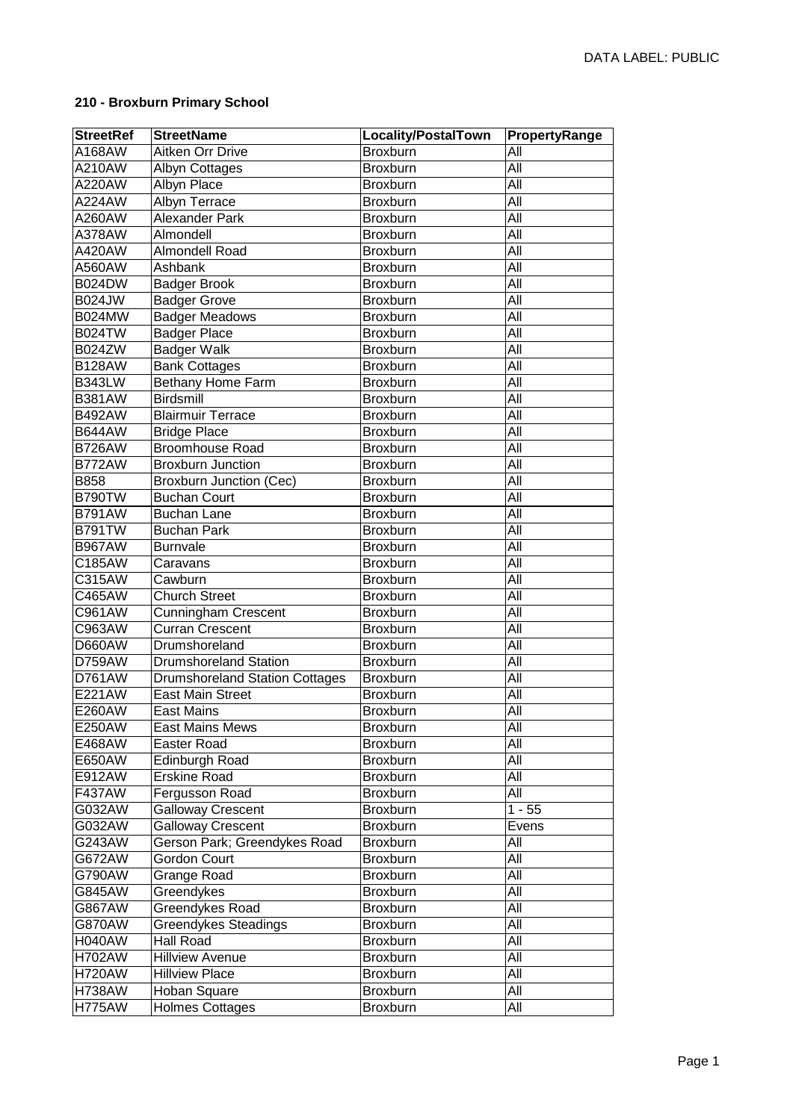## **210 - Broxburn Primary School**

| <b>StreetRef</b> | <b>StreetName</b>                     | Locality/PostalTown | PropertyRange    |
|------------------|---------------------------------------|---------------------|------------------|
| A168AW           | Aitken Orr Drive                      | Broxburn            | ΑIΙ              |
| A210AW           | Albyn Cottages                        | Broxburn            | All              |
| A220AW           | Albyn Place                           | Broxburn            | All              |
| A224AW           | Albyn Terrace                         | Broxburn            | All              |
| A260AW           | <b>Alexander Park</b>                 | Broxburn            | $\overline{All}$ |
| A378AW           | Almondell                             | Broxburn            | All              |
| A420AW           | Almondell Road                        | Broxburn            | All              |
| A560AW           | Ashbank                               | Broxburn            | $\overline{All}$ |
| <b>B024DW</b>    | <b>Badger Brook</b>                   | Broxburn            | $\overline{All}$ |
| <b>B024JW</b>    | <b>Badger Grove</b>                   | Broxburn            | $\overline{All}$ |
| <b>B024MW</b>    | <b>Badger Meadows</b>                 | Broxburn            | $\overline{All}$ |
| <b>B024TW</b>    | <b>Badger Place</b>                   | Broxburn            | All              |
| <b>B024ZW</b>    | <b>Badger Walk</b>                    | Broxburn            | $\overline{All}$ |
| <b>B128AW</b>    | <b>Bank Cottages</b>                  | Broxburn            | All              |
| <b>B343LW</b>    | <b>Bethany Home Farm</b>              | Broxburn            | All              |
| <b>B381AW</b>    | Birdsmill                             | Broxburn            | All              |
| <b>B492AW</b>    | <b>Blairmuir Terrace</b>              | Broxburn            | All              |
| <b>B644AW</b>    | <b>Bridge Place</b>                   | Broxburn            | All              |
| <b>B726AW</b>    | <b>Broomhouse Road</b>                | <b>Broxburn</b>     | All              |
| <b>B772AW</b>    | <b>Broxburn Junction</b>              | Broxburn            | All              |
| <b>B858</b>      | <b>Broxburn Junction (Cec)</b>        | Broxburn            | All              |
| <b>B790TW</b>    | <b>Buchan Court</b>                   | Broxburn            | All              |
| <b>B791AW</b>    | <b>Buchan Lane</b>                    | Broxburn            | All              |
| <b>B791TW</b>    | <b>Buchan Park</b>                    | Broxburn            | All              |
| <b>B967AW</b>    | <b>Burnvale</b>                       | Broxburn            | All              |
| C185AW           | Caravans                              | Broxburn            | All              |
| C315AW           | Cawburn                               | Broxburn            | All              |
| C465AW           | <b>Church Street</b>                  | <b>Broxburn</b>     | All              |
| C961AW           | Cunningham Crescent                   | Broxburn            | All              |
| C963AW           | <b>Curran Crescent</b>                | Broxburn            | All              |
| <b>D660AW</b>    | Drumshoreland                         | Broxburn            | All              |
| D759AW           | <b>Drumshoreland Station</b>          | <b>Broxburn</b>     | All              |
| D761AW           | <b>Drumshoreland Station Cottages</b> | Broxburn            | All              |
| E221AW           | <b>East Main Street</b>               | <b>Broxburn</b>     | All              |
| E260AW           | <b>East Mains</b>                     | Broxburn            | All              |
| E250AW           | <b>East Mains Mews</b>                | <b>Broxburn</b>     | All              |
| E468AW           | <b>Easter Road</b>                    | <b>Broxburn</b>     | $\overline{All}$ |
| E650AW           | Edinburgh Road                        | Broxburn            | $\overline{All}$ |
| E912AW           | <b>Erskine Road</b>                   | Broxburn            | All              |
| F437AW           | Fergusson Road                        | <b>Broxburn</b>     | All              |
| G032AW           | <b>Galloway Crescent</b>              | Broxburn            | $1 - 55$         |
| G032AW           | <b>Galloway Crescent</b>              | Broxburn            | Evens            |
| G243AW           | Gerson Park; Greendykes Road          | Broxburn            | All              |
| G672AW           | Gordon Court                          | Broxburn            | All              |
| G790AW           | Grange Road                           | <b>Broxburn</b>     | All              |
| G845AW           | Greendykes                            | <b>Broxburn</b>     | All              |
| G867AW           | Greendykes Road                       | <b>Broxburn</b>     | All              |
| G870AW           | Greendykes Steadings                  | Broxburn            | All              |
| <b>H040AW</b>    | Hall Road                             | <b>Broxburn</b>     | All              |
| <b>H702AW</b>    | <b>Hillview Avenue</b>                | <b>Broxburn</b>     | All              |
| <b>H720AW</b>    | <b>Hillview Place</b>                 | <b>Broxburn</b>     | All              |
| <b>H738AW</b>    | Hoban Square                          | <b>Broxburn</b>     | All              |
| <b>H775AW</b>    | <b>Holmes Cottages</b>                | Broxburn            | All              |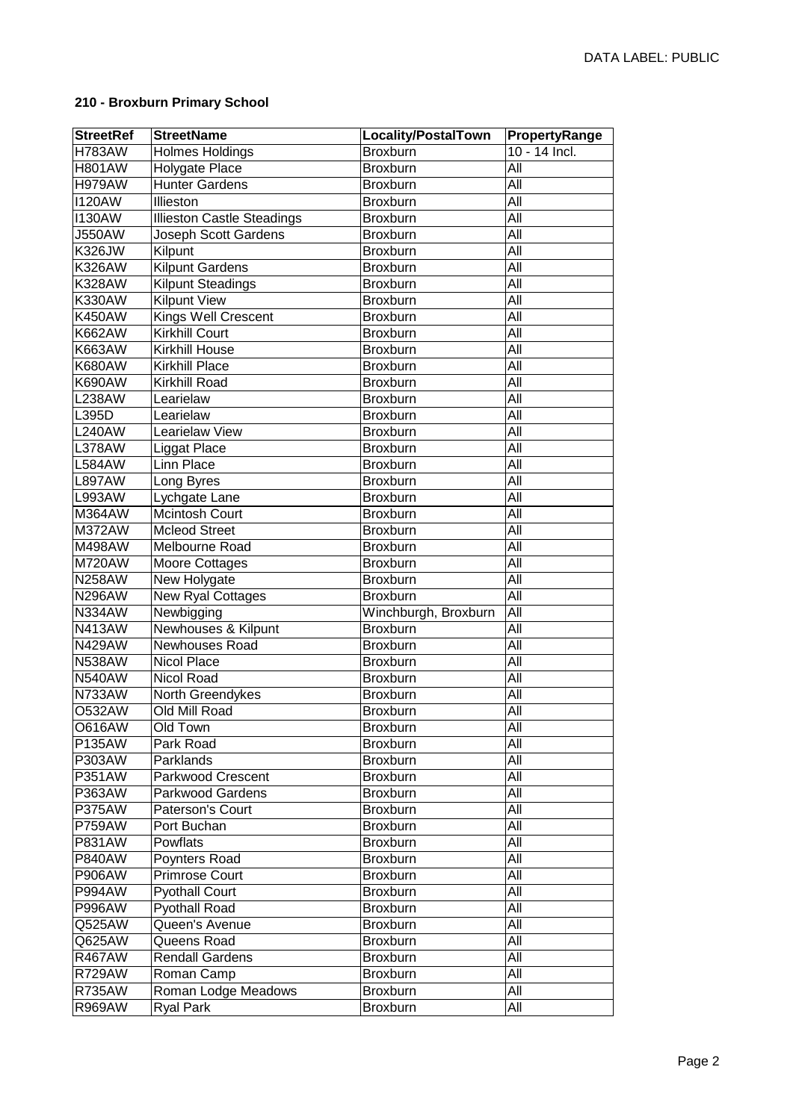## **210 - Broxburn Primary School**

| <b>StreetRef</b> | <b>StreetName</b>                 | <b>Locality/PostalTown</b> | PropertyRange    |
|------------------|-----------------------------------|----------------------------|------------------|
| <b>H783AW</b>    | Holmes Holdings                   | <b>Broxburn</b>            | $10 - 14$ Incl.  |
| <b>H801AW</b>    | Holygate Place                    | Broxburn                   | All              |
| <b>H979AW</b>    | <b>Hunter Gardens</b>             | Broxburn                   | All              |
| <b>I120AW</b>    | Illieston                         | Broxburn                   | <b>All</b>       |
| <b>I130AW</b>    | <b>Illieston Castle Steadings</b> | Broxburn                   | All              |
| <b>J550AW</b>    | Joseph Scott Gardens              | Broxburn                   | All              |
| <b>K326JW</b>    | Kilpunt                           | Broxburn                   | All              |
| <b>K326AW</b>    | <b>Kilpunt Gardens</b>            | Broxburn                   | $\overline{All}$ |
| <b>K328AW</b>    | <b>Kilpunt Steadings</b>          | <b>Broxburn</b>            | All              |
| <b>K330AW</b>    | <b>Kilpunt View</b>               | <b>Broxburn</b>            | All              |
| <b>K450AW</b>    | Kings Well Crescent               | <b>Broxburn</b>            | All              |
| <b>K662AW</b>    | <b>Kirkhill Court</b>             | Broxburn                   | All              |
| K663AW           | <b>Kirkhill House</b>             | Broxburn                   | All              |
| <b>K680AW</b>    | <b>Kirkhill Place</b>             | <b>Broxburn</b>            | All              |
| <b>K690AW</b>    | Kirkhill Road                     | Broxburn                   | All              |
| <b>L238AW</b>    | Learielaw                         | Broxburn                   | All              |
| L395D            | Learielaw                         | <b>Broxburn</b>            | All              |
| <b>L240AW</b>    | Learielaw View                    | <b>Broxburn</b>            | All              |
| <b>L378AW</b>    | Liggat Place                      | <b>Broxburn</b>            | All              |
| <b>L584AW</b>    | Linn Place                        | <b>Broxburn</b>            | All              |
| <b>L897AW</b>    | Long Byres                        | Broxburn                   | All              |
| L993AW           | Lychgate Lane                     | Broxburn                   | All              |
| M364AW           | Mcintosh Court                    | <b>Broxburn</b>            | All              |
| M372AW           | <b>Mcleod Street</b>              | Broxburn                   | All              |
| M498AW           | Melbourne Road                    | Broxburn                   | All              |
| <b>M720AW</b>    | Moore Cottages                    | Broxburn                   | All              |
| <b>N258AW</b>    | New Holygate                      | <b>Broxburn</b>            | All              |
| <b>N296AW</b>    | New Ryal Cottages                 | <b>Broxburn</b>            | All              |
| <b>N334AW</b>    | Newbigging                        | Winchburgh, Broxburn       | All              |
| <b>N413AW</b>    | Newhouses & Kilpunt               | Broxburn                   | All              |
| <b>N429AW</b>    | Newhouses Road                    | Broxburn                   | All              |
| <b>N538AW</b>    | Nicol Place                       | <b>Broxburn</b>            | All              |
| <b>N540AW</b>    | Nicol Road                        | <b>Broxburn</b>            | All              |
| N733AW           | North Greendykes                  | <b>Broxburn</b>            | All              |
| <b>O532AW</b>    | Old Mill Road                     | Broxburn                   | All              |
| O616AW           | Old Town                          | <b>Broxburn</b>            | All              |
| P135AW           | Park Road                         | Broxburn                   | $\overline{All}$ |
| P303AW           | Parklands                         | Broxburn                   | All              |
| P351AW           | Parkwood Crescent                 | Broxburn                   | All              |
| P363AW           | Parkwood Gardens                  | <b>Broxburn</b>            | All              |
| <b>P375AW</b>    | Paterson's Court                  | <b>Broxburn</b>            | $\overline{All}$ |
| <b>P759AW</b>    | Port Buchan                       | <b>Broxburn</b>            | All              |
| P831AW           | Powflats                          | <b>Broxburn</b>            | All              |
| <b>P840AW</b>    | Poynters Road                     | <b>Broxburn</b>            | All              |
| <b>P906AW</b>    | <b>Primrose Court</b>             | <b>Broxburn</b>            | All              |
| <b>P994AW</b>    | <b>Pyothall Court</b>             | <b>Broxburn</b>            | All              |
| <b>P996AW</b>    | <b>Pyothall Road</b>              | Broxburn                   | All              |
| Q525AW           | Queen's Avenue                    | Broxburn                   | All              |
| Q625AW           | Queens Road                       | Broxburn                   | All              |
| <b>R467AW</b>    | <b>Rendall Gardens</b>            | <b>Broxburn</b>            | All              |
| <b>R729AW</b>    | Roman Camp                        | <b>Broxburn</b>            | All              |
| <b>R735AW</b>    | Roman Lodge Meadows               | <b>Broxburn</b>            | All              |
| <b>R969AW</b>    | <b>Ryal Park</b>                  | <b>Broxburn</b>            | All              |